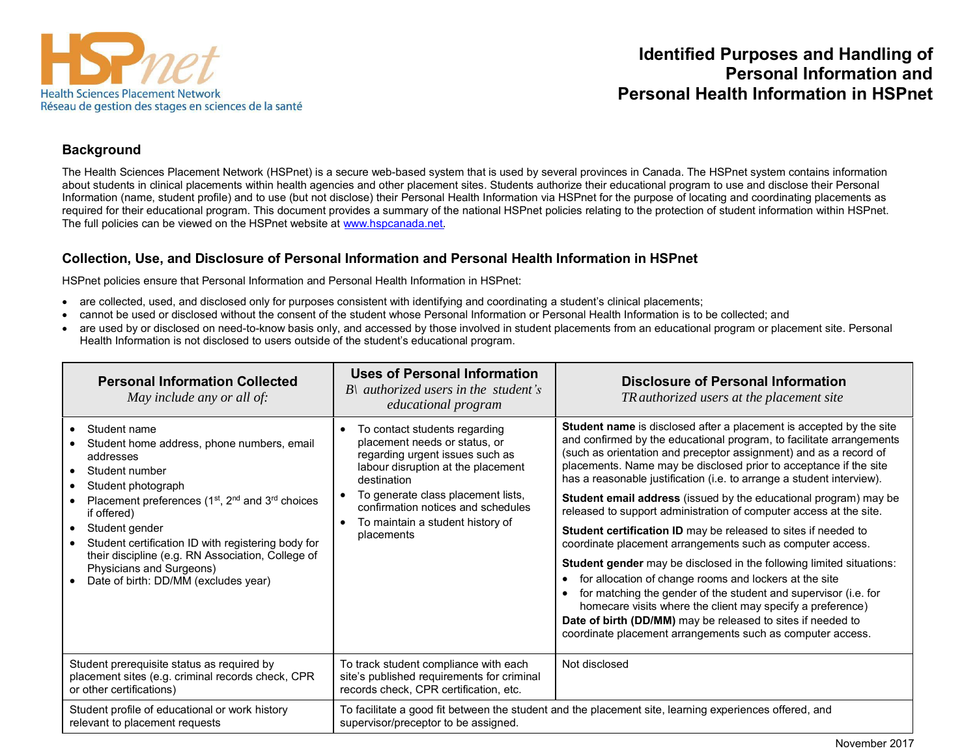

# **Identified Purposes and Handling of Personal Information and Personal Health Information in HSPnet**

#### **Background**

The Health Sciences Placement Network (HSPnet) is a secure web-based system that is used by several provinces in Canada. The HSPnet system contains information about students in clinical placements within health agencies and other placement sites. Students authorize their educational program to use and disclose their Personal Information (name, student profile) and to use (but not disclose) their Personal Health Information via HSPnet for the purpose of locating and coordinating placements as required for their educational program. This document provides a summary of the national HSPnet policies relating to the protection of student information within HSPnet. The full policies can be viewed on the HSPnet website at [www.hspcanada.net.](http://www.hspcanada.net/)

### **Collection, Use, and Disclosure of Personal Information and Personal Health Information in HSPnet**

HSPnet policies ensure that Personal Information and Personal Health Information in HSPnet:

- are collected, used, and disclosed only for purposes consistent with identifying and coordinating a student's clinical placements;
- cannot be used or disclosed without the consent of the student whose Personal Information or Personal Health Information is to be collected; and
- are used by or disclosed on need-to-know basis only, and accessed by those involved in student placements from an educational program or placement site. Personal Health Information is not disclosed to users outside of the student's educational program.

| <b>Personal Information Collected</b><br>May include any or all of:                                                                                                                                                                                                                                                                                                                                                                  | <b>Uses of Personal Information</b><br>$B\$ authorized users in the student's<br>educational program                                                                                                                                                                                              | <b>Disclosure of Personal Information</b><br>Tq authorized users at the placement site                                                                                                                                                                                                                                                                                                                                                                                                                                                                                                                                                                                                                                                                                                                                                                                                                                                                                                                                                          |
|--------------------------------------------------------------------------------------------------------------------------------------------------------------------------------------------------------------------------------------------------------------------------------------------------------------------------------------------------------------------------------------------------------------------------------------|---------------------------------------------------------------------------------------------------------------------------------------------------------------------------------------------------------------------------------------------------------------------------------------------------|-------------------------------------------------------------------------------------------------------------------------------------------------------------------------------------------------------------------------------------------------------------------------------------------------------------------------------------------------------------------------------------------------------------------------------------------------------------------------------------------------------------------------------------------------------------------------------------------------------------------------------------------------------------------------------------------------------------------------------------------------------------------------------------------------------------------------------------------------------------------------------------------------------------------------------------------------------------------------------------------------------------------------------------------------|
| Student name<br>Student home address, phone numbers, email<br>addresses<br>Student number<br>$\bullet$<br>Student photograph<br>Placement preferences (1 <sup>st</sup> , 2 <sup>nd</sup> and 3 <sup>rd</sup> choices<br>if offered)<br>Student gender<br>Student certification ID with registering body for<br>their discipline (e.g. RN Association, College of<br>Physicians and Surgeons)<br>Date of birth: DD/MM (excludes year) | To contact students regarding<br>placement needs or status, or<br>regarding urgent issues such as<br>labour disruption at the placement<br>destination<br>To generate class placement lists,<br>confirmation notices and schedules<br>To maintain a student history of<br>$\bullet$<br>placements | Student name is disclosed after a placement is accepted by the site<br>and confirmed by the educational program, to facilitate arrangements<br>(such as orientation and preceptor assignment) and as a record of<br>placements. Name may be disclosed prior to acceptance if the site<br>has a reasonable justification (i.e. to arrange a student interview).<br>Student email address (issued by the educational program) may be<br>released to support administration of computer access at the site.<br>Student certification ID may be released to sites if needed to<br>coordinate placement arrangements such as computer access.<br><b>Student gender</b> may be disclosed in the following limited situations:<br>for allocation of change rooms and lockers at the site<br>for matching the gender of the student and supervisor (i.e. for<br>homecare visits where the client may specify a preference)<br>Date of birth (DD/MM) may be released to sites if needed to<br>coordinate placement arrangements such as computer access. |
| Student prerequisite status as required by<br>placement sites (e.g. criminal records check, CPR<br>or other certifications)                                                                                                                                                                                                                                                                                                          | To track student compliance with each<br>site's published requirements for criminal<br>records check, CPR certification, etc.                                                                                                                                                                     | Not disclosed                                                                                                                                                                                                                                                                                                                                                                                                                                                                                                                                                                                                                                                                                                                                                                                                                                                                                                                                                                                                                                   |
| Student profile of educational or work history<br>relevant to placement requests                                                                                                                                                                                                                                                                                                                                                     | supervisor/preceptor to be assigned.                                                                                                                                                                                                                                                              | To facilitate a good fit between the student and the placement site, learning experiences offered, and                                                                                                                                                                                                                                                                                                                                                                                                                                                                                                                                                                                                                                                                                                                                                                                                                                                                                                                                          |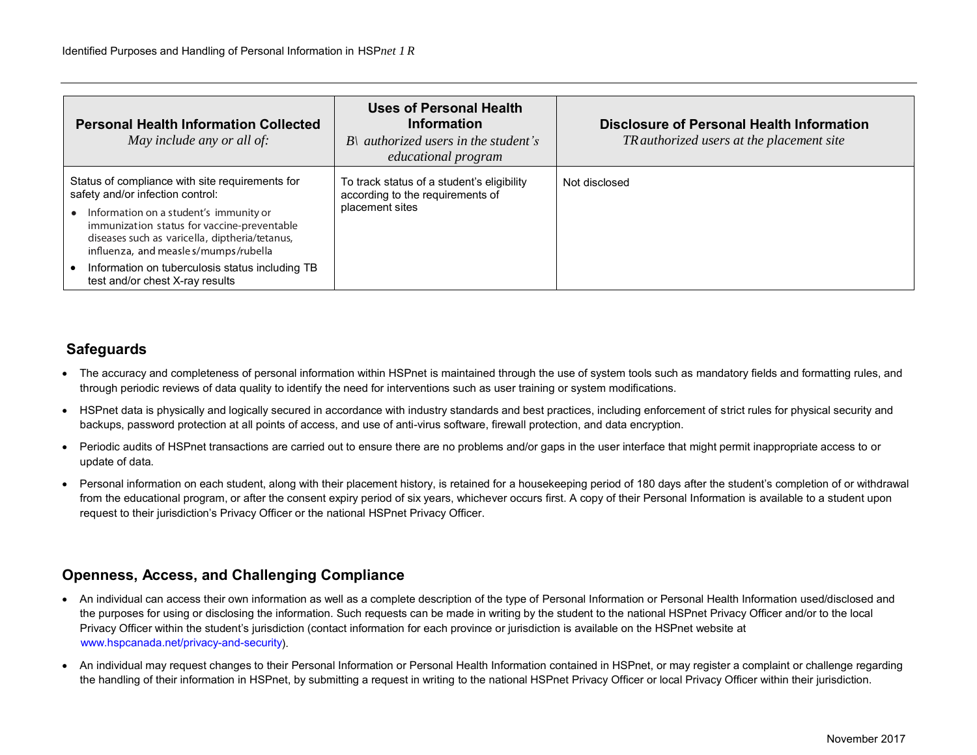| <b>Personal Health Information Collected</b><br>May include any or all of:                                                                                                                                                                                                                                                 | <b>Uses of Personal Health</b><br><b>Information</b><br>$B$ { authorized users in the student's<br>educational program | <b>Disclosure of Personal Health Information</b><br>Tq authorized users at the placement site |
|----------------------------------------------------------------------------------------------------------------------------------------------------------------------------------------------------------------------------------------------------------------------------------------------------------------------------|------------------------------------------------------------------------------------------------------------------------|-----------------------------------------------------------------------------------------------|
| Status of compliance with site requirements for<br>safety and/or infection control:<br>Information on a student's immunity or<br>immunization status for vaccine-preventable<br>diseases such as varicella, diptheria/tetanus,<br>influenza, and measle s/mumps/rubella<br>Information on tuberculosis status including TB | To track status of a student's eligibility<br>according to the requirements of<br>placement sites                      | Not disclosed                                                                                 |

## **Safeguards**

- The accuracy and completeness of personal information within HSPnet is maintained through the use of system tools such as mandatory fields and formatting rules, and through periodic reviews of data quality to identify the need for interventions such as user training or system modifications.
- HSPnet data is physically and logically secured in accordance with industry standards and best practices, including enforcement of strict rules for physical security and backups, password protection at all points of access, and use of anti-virus software, firewall protection, and data encryption.
- Periodic audits of HSPnet transactions are carried out to ensure there are no problems and/or gaps in the user interface that might permit inappropriate access to or update of data.
- Personal information on each student, along with their placement history, is retained for a housekeeping period of 180 days after the student's completion of or withdrawal from the educational program, or after the consent expiry period of six years, whichever occurs first. A copy of their Personal Information is available to a student upon request to their jurisdiction's Privacy Officer or the national HSPnet Privacy Officer.

## **Openness, Access, and Challenging Compliance**

- An individual can access their own information as well as a complete description of the type of Personal Information or Personal Health Information used/disclosed and the purposes for using or disclosing the information. Such requests can be made in writing by the student to the national HSPnet Privacy Officer and/or to the local Privacy Officer within the student's jurisdiction (contact information for each province or jurisdiction is available on the HSPnet website at [www.hspcanada.net/privacy-and-security\).](http://hspcanada.net/privacy-and-security/)
- An individual may request changes to their Personal Information or Personal Health Information contained in HSPnet, or may register a complaint or challenge regarding the handling of their information in HSPnet, by submitting a request in writing to the national HSPnet Privacy Officer or local Privacy Officer within their jurisdiction.

 $\overline{a}$